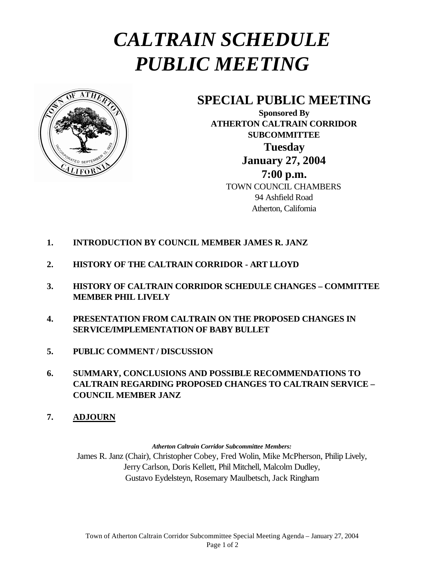## *CALTRAIN SCHEDULE PUBLIC MEETING*



## **SPECIAL PUBLIC MEETING**

**Sponsored By ATHERTON CALTRAIN CORRIDOR SUBCOMMITTEE Tuesday January 27, 2004 7:00 p.m.** TOWN COUNCIL CHAMBERS 94 Ashfield Road Atherton, California

- **1. INTRODUCTION BY COUNCIL MEMBER JAMES R. JANZ**
- **2. HISTORY OF THE CALTRAIN CORRIDOR ART LLOYD**
- **3. HISTORY OF CALTRAIN CORRIDOR SCHEDULE CHANGES COMMITTEE MEMBER PHIL LIVELY**
- **4. PRESENTATION FROM CALTRAIN ON THE PROPOSED CHANGES IN SERVICE/IMPLEMENTATION OF BABY BULLET**
- **5. PUBLIC COMMENT / DISCUSSION**
- **6. SUMMARY, CONCLUSIONS AND POSSIBLE RECOMMENDATIONS TO CALTRAIN REGARDING PROPOSED CHANGES TO CALTRAIN SERVICE – COUNCIL MEMBER JANZ**
- **7. ADJOURN**

*Atherton Caltrain Corridor Subcommittee Members:*

James R. Janz (Chair), Christopher Cobey, Fred Wolin, Mike McPherson, Philip Lively, Jerry Carlson, Doris Kellett, Phil Mitchell, Malcolm Dudley, Gustavo Eydelsteyn, Rosemary Maulbetsch, Jack Ringham